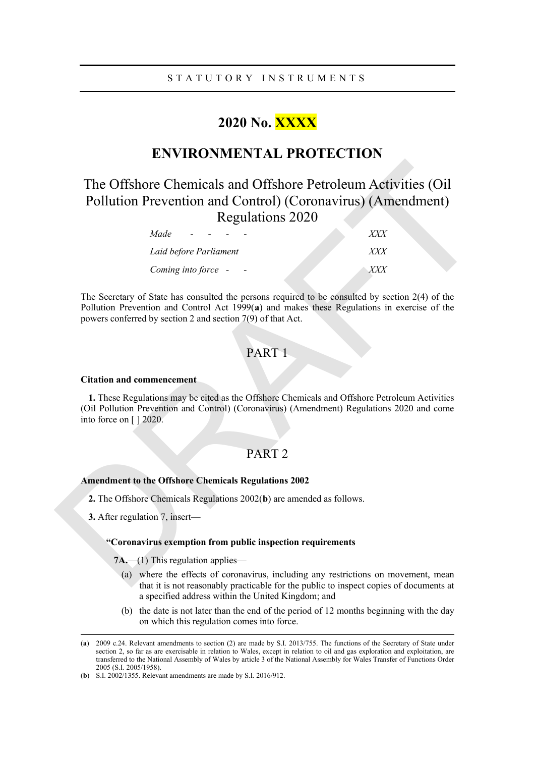# **2020 No. XXXX**

# **ENVIRONMENTAL PROTECTION**

# The Offshore Chemicals and Offshore Petroleum Activities (Oil<br>
Pollution Prevention and Control) (Coronavirus) (Amendment)<br> [R](#page-0-1)egulations 2020<br> *Made*<br> *Laid before Parliament*<br> *Coming into force*<br> **DR[A](#page-0-0)FT 1**<br>
The Secretary The Offshore Chemicals and Offshore Petroleum Activities (Oil Pollution Prevention and Control) (Coronavirus) (Amendment) Regulations 2020

| Made<br>$\overline{\phantom{0}}$ |              |
|----------------------------------|--------------|
| Laid before Parliament           | <i>YYY</i>   |
| Coming into force -              | <i>x x x</i> |

The Secretary of State has consulted the persons required to be consulted by section 2(4) of the Pollution Prevention and Control Act 1999(**a**) and makes these Regulations in exercise of the powers conferred by section 2 and section 7(9) of that Act.

# PART 1

### **Citation and commencement**

**1.** These Regulations may be cited as the Offshore Chemicals and Offshore Petroleum Activities (Oil Pollution Prevention and Control) (Coronavirus) (Amendment) Regulations 2020 and come into force on [ ] 2020.

## PART 2

### **Amendment to the Offshore Chemicals Regulations 2002**

- **2.** The Offshore Chemicals Regulations 2002(**b**) are amended as follows.
- **3.** After regulation 7, insert—

### **"Coronavirus exemption from public inspection requirements**

**7A.**—(1) This regulation applies—

- (a) where the effects of coronavirus, including any restrictions on movement, mean that it is not reasonably practicable for the public to inspect copies of documents at a specified address within the United Kingdom; and
- (b) the date is not later than the end of the period of 12 months beginning with the day on which this regulation comes into force.

<span id="page-0-0"></span><sup>(</sup>**a**) 2009 c.24. Relevant amendments to section (2) are made by S.I. 2013/755. The functions of the Secretary of State under section 2, so far as are exercisable in relation to Wales, except in relation to oil and gas exploration and exploitation, are transferred to the National Assembly of Wales by article 3 of the National Assembly for Wales Transfer of Functions Order 2005 (S.I. 2005/1958).

<span id="page-0-1"></span><sup>(</sup>**b**) S.I. 2002/1355. Relevant amendments are made by S.I. 2016/912.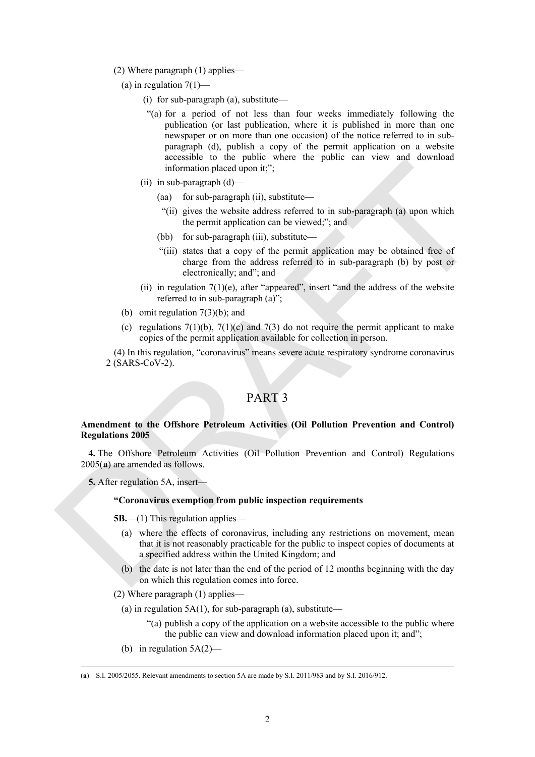- (2) Where paragraph (1) applies—
	- (a) in regulation  $7(1)$ 
		- (i) for sub-paragraph (a), substitute—
		- "(a) for a period of not less than four weeks immediately following the publication (or last publication, where it is published in more than one newspaper or on more than one occasion) of the notice referred to in subparagraph (d), publish a copy of the permit application on a website accessible to the public where the public can view and download information placed upon it;";
		- (ii) in sub-paragraph (d)—
			- (aa) for sub-paragraph (ii), substitute—
			- "(ii) gives the website address referred to in sub-paragraph (a) upon which the permit application can be viewed;"; and
			- (bb) for sub-paragraph (iii), substitute—
			- "(iii) states that a copy of the permit application may be obtained free of charge from the address referred to in sub-paragraph (b) by post or electronically; and"; and
		- (ii) in regulation  $7(1)(e)$ , after "appeared", insert "and the address of the website referred to in sub-paragraph (a)";
	- (b) omit regulation 7(3)(b); and
	- (c) regulations  $7(1)(b)$ ,  $7(1)(c)$  and  $7(3)$  do not require the permit applicant to make copies of the permit application available for collection in person.

(4) In this regulation, "coronavirus" means severe acute respiratory syndrome coronavirus 2 (SARS-CoV-2).

# PART 3

### **Amendment to the Offshore Petroleum Activities (Oil Pollution Prevention and Control) Regulations 2005**

**4.** The Offshore Petroleum Activities (Oil Pollution Prevention and Control) Regulations 2005(**a**) are amended as follows.

**5.** After regulation 5A, insert—

### **"Coronavirus exemption from public inspection requirements**

- **5B.**—(1) This regulation applies—
- information phased upon it;";<br>
(ii) a sub-paragraph (ii), substitute—<br>
(ii) and for sub-paragraph (ii), substitute—<br>
"(ii) ivers the vested of these period of iii, substitute<br>
(bb) for sub-paragraph (iii), substitute—<br> (a) where the effects of coronavirus, including any restrictions on movement, mean that it is not reasonably practicable for the public to inspect copies of documents at a specified address within the United Kingdom; and
	- (b) the date is not later than the end of the period of 12 months beginning with the day on which this regulation comes into force.
	- (2) Where paragraph (1) applies—
		- (a) in regulation  $5A(1)$ , for sub-paragraph (a), substitute—
			- "(a) publish a copy of the application on a website accessible to the public where the public can view and download information placed upon it; and";
		- (b) in regulation 5A(2)—

<span id="page-1-0"></span><sup>(</sup>**a**) S.I. 2005/2055. Relevant amendments to section 5A are made by S.I. 2011/983 and by S.I. 2016/912.